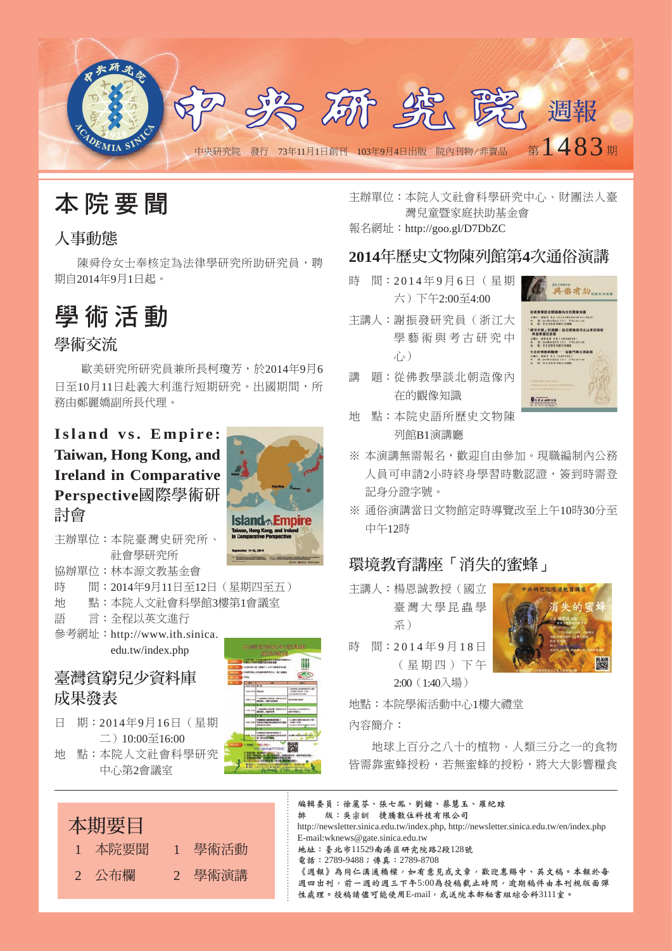



### 人事動態

陳舜伶女士奉核定為法律學研究所助研究員,聘 期自2014年9月1日起。

# 學 術 活 動

### 學術交流

歐美研究所研究員兼所長柯瓊芳,於2014年9月6 日至10月11日赴義大利進行短期研究。出國期間,所 務由鄭麗嬌副所長代理。

## Island vs. Empire: **Taiwan, Hong Kong, and Ireland in Comparative Perspective**國際學術研 討會



主辦單位:本院臺灣史研究所、 社會學研究所

協辦單位:林本源文教基金會

- 時 間:2014年9月11日至12日(星期四至五)
- 地 點:本院人文社會科學館3樓第1會議室
- 語 言:全程以英文淮行 參考網址: http://www.ith.sinica. edu.tw/index.php

## 臺灣貧窮兒少資料庫 成果發表

日 期: 2014年9月16日(星期 二)10:00至16:00 地 點:本院人文社會科學研究 中心第2會議室



主辦單位:本院人文社會科學研究中心、財團法人臺 灣兒童暨家庭扶助基金會

報名網址:http://goo.gl/D7DbZC

### **2014**年歷史文物陳列館第**4**次通俗演講

- 時 間: 2014年9月6日 (星期 六)下午2:00至4:00
- 主講人:謝振發研究員(浙江大 學藝術與考古研究中 心)
- 講 題:從佛教學談北朝造像內 在的觀像知識
- 地 點:本院史語所歷史文物陳 列館B1演講廳
- ※ 本演講無需報名,歡迎自由參加。現職編制內公務 人員可申請2小時終身學習時數認證,簽到時需登 記身分證字號。
- ※ 通俗演講當日文物館定時導覽改至上午10時30分至 中午12時

### 環境教育講座「消失的蜜蜂」

- 主講人:楊恩誠教授(國立 臺 灣 大 學 昆 蟲 學 系)
- 時 間: 2014年9月18日 ( 星 期 四 ) 下 午 2:00(1:40入場)

地點:本院學術活動中心1樓大禮堂

內容簡介:

地球上百分之八十的植物、人類三分之一的食物 皆需靠蜜蜂授粉,若無蜜蜂的授粉,將大大影響糧食

本期要目 1 本院要聞 1 學術活動 2 公布欄 2 學術演講





究院環境教育講座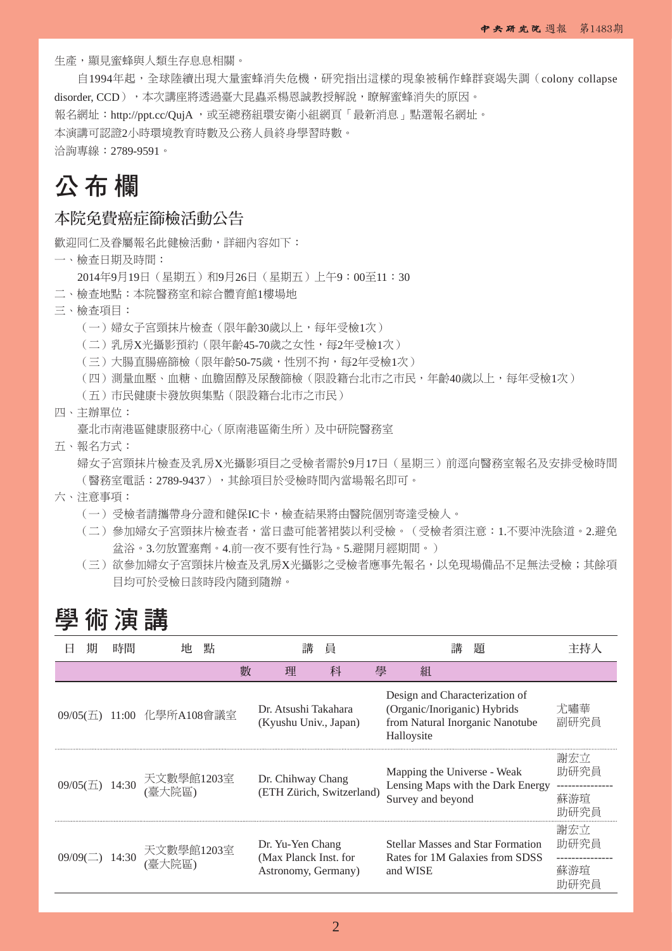生產,顯見蜜蜂與人類生存息息相關。

自1994年起,全球陸續出現大量蜜蜂消失危機,研究指出這樣的現象被稱作蜂群衰竭失調(colony collapse disorder, CCD), 本次講座將透過臺大昆蟲系楊恩誠教授解說,瞭解蜜蜂消失的原因。 報名網址:http://ppt.cc/QujA ,或至總務組環安衛小組網頁「最新消息」點選報名網址。 本演講可認證2小時環境教育時數及公務人員終身學習時數。

洽詢專線:2789-9591。

# 公 布 欄

### 本院免費癌症篩檢活動公告

歡迎同仁及眷屬報名此健檢活動,詳細內容如下:

- 一、檢查日期及時間:
	- 2014年9月19日(星期五)和9月26日(星期五)上午9:00至11:30
- 二、檢查地點:本院醫務室和綜合體育館1樓場地
- 三、檢查項目:
	- (一)婦女子宮頸抹片檢查(限年齡30歲以上,每年受檢1次)
	- (二)乳房X光攝影預約(限年齡45-70歲之女性,每2年受檢1次)
	- (三)大腸直腸癌篩檢(限年齡50-75歲,性別不拘,每2年受檢1次)
	- (四)測量血壓、血糖、血膽固醇及尿酸篩檢(限設籍台北市之市民,年齡40歲以上,每年受檢1次)
	- (五)市民健康卡發放與集點(限設籍台北市之市民)
- 四、主辦單位:

臺北市南港區健康服務中心(原南港區衛生所)及中研院醫務室

五、報名方式:

婦女子宮頸抹片檢查及乳房X光攝影項目之受檢者需於9月17日(星期三)前逕向醫務室報名及安排受檢時間 (醫務室電話: 2789-9437), 其餘項目於受檢時間內當場報名即可。

- 六、注意事項:
	- (一)受檢者請攜帶身分證和健保IC卡,檢查結果將由醫院個別寄達受檢人。
	- (二)參加婦女子宮頸抹片檢查者,當日盡可能著裙裝以利受檢。(受檢者須注意:1.不要沖洗陰道。2.避免 盆浴。3.勿放置塞劑。4.前一夜不要有性行為。5.避開月經期間。)
	- (三)欲參加婦女子宮頸抹片檢查及乳房X光攝影之受檢者應事先報名,以免現場備品不足無法受檢;其餘項 目均可於受檢日該時段內隨到隨辦。

## 學 術 演 講

|                   | 時間    |                                     | 點 |                           | 講                                                                | 員 |                                                                  |                                            | 講           | 題                                                                           |                            |
|-------------------|-------|-------------------------------------|---|---------------------------|------------------------------------------------------------------|---|------------------------------------------------------------------|--------------------------------------------|-------------|-----------------------------------------------------------------------------|----------------------------|
|                   |       |                                     |   | 數                         | 理                                                                | 科 | 壆                                                                | 組                                          |             |                                                                             |                            |
|                   |       | 09/05(五) 11:00 化學所A108會議室           |   |                           | Dr. Atsushi Takahara<br>(Kyushu Univ., Japan)                    |   |                                                                  | (Organic/Inoriganic) Hybrids<br>Halloysite |             | Design and Characterization of<br>from Natural Inorganic Nanotube           | 尤嘯華<br>副研究員                |
| $09/05$ ( $\pm$ ) | 14:30 | 天文數學館1203室<br>(臺大院區)                |   | Dr. Chihway Chang         |                                                                  |   | Mapping the Universe - Weak<br>Lensing Maps with the Dark Energy |                                            | 謝宏立<br>助研究員 |                                                                             |                            |
|                   |       |                                     |   | (ETH Zürich, Switzerland) |                                                                  |   | Survey and beyond                                                |                                            |             | 蘇游琯<br>助研究員                                                                 |                            |
|                   |       | 09/09(二) 14:30 天文數學館1203室<br>(臺大院區) |   |                           | Dr. Yu-Yen Chang<br>(Max Planck Inst. for<br>Astronomy, Germany) |   |                                                                  | and WISE                                   |             | <b>Stellar Masses and Star Formation</b><br>Rates for 1M Galaxies from SDSS | 謝宏立<br>助研究員<br>蘇游垣<br>助研究員 |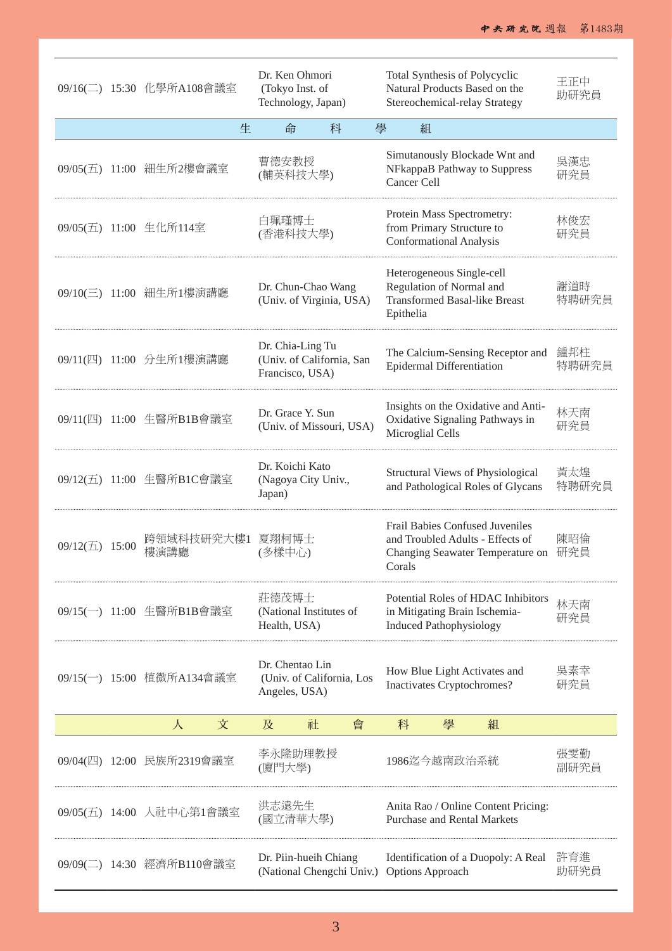|              |       | 09/16(二) 15:30 化學所A108會議室 | Dr. Ken Ohmori<br>(Tokyo Inst. of<br>Technology, Japan) |                           |   | Total Synthesis of Polycyclic<br>Natural Products Based on the<br>Stereochemical-relay Strategy |                                                                                           |                                                                                                         | 王正中<br>助研究員  |
|--------------|-------|---------------------------|---------------------------------------------------------|---------------------------|---|-------------------------------------------------------------------------------------------------|-------------------------------------------------------------------------------------------|---------------------------------------------------------------------------------------------------------|--------------|
|              |       | 生                         | 命                                                       | 科                         | 學 | 組                                                                                               |                                                                                           |                                                                                                         |              |
|              |       | 09/05(五) 11:00 細生所2樓會議室   | 曹德安教授<br>(輔英科技大學)                                       |                           |   | Cancer Cell                                                                                     |                                                                                           | Simutanously Blockade Wnt and<br>NFkappaB Pathway to Suppress                                           | 吳漢忠<br>研究員   |
|              |       | 09/05(五) 11:00 生化所114室    | 白珮瑾博士<br>(香港科技大學)                                       |                           |   |                                                                                                 | Protein Mass Spectrometry:<br>from Primary Structure to<br><b>Conformational Analysis</b> |                                                                                                         | 林俊宏<br>研究員   |
|              |       | 09/10(三) 11:00 細生所1樓演講廳   | Dr. Chun-Chao Wang                                      | (Univ. of Virginia, USA)  |   | Epithelia                                                                                       | Heterogeneous Single-cell<br>Regulation of Normal and                                     | <b>Transformed Basal-like Breast</b>                                                                    | 謝道時<br>特聘研究員 |
|              |       | 09/11(四) 11:00 分生所1樓演講廳   | Dr. Chia-Ling Tu<br>Francisco, USA)                     | (Univ. of California, San |   |                                                                                                 | <b>Epidermal Differentiation</b>                                                          | The Calcium-Sensing Receptor and                                                                        | 鍾邦柱<br>特聘研究員 |
|              |       | 09/11(四) 11:00 生醫所B1B會議室  | Dr. Grace Y. Sun                                        | (Univ. of Missouri, USA)  |   | Microglial Cells                                                                                |                                                                                           | Insights on the Oxidative and Anti-<br>Oxidative Signaling Pathways in                                  | 林天南<br>研究員   |
|              |       | 09/12(五) 11:00 生醫所B1C會議室  | Dr. Koichi Kato<br>(Nagoya City Univ.,<br>Japan)        |                           |   |                                                                                                 |                                                                                           | Structural Views of Physiological<br>and Pathological Roles of Glycans                                  | 黃太煌<br>特聘研究員 |
| $09/12(\pm)$ | 15:00 | 跨領域科技研究大樓1<br>樓演講廳        | 夏翔柯博士<br>(多樣中心)                                         |                           |   | Corals                                                                                          |                                                                                           | Frail Babies Confused Juveniles<br>and Troubled Adults - Effects of<br>Changing Seawater Temperature on | 陳昭倫<br>研究員   |
|              |       | 09/15(一) 11:00 生醫所B1B會議室  | 莊德茂博士<br>(National Institutes of<br>Health, USA)        |                           |   |                                                                                                 | <b>Induced Pathophysiology</b>                                                            | Potential Roles of HDAC Inhibitors<br>in Mitigating Brain Ischemia-                                     | 林天南<br>研究員   |
|              |       | 09/15(一) 15:00 植微所A134會議室 | Dr. Chentao Lin<br>Angeles, USA)                        | (Univ. of California, Los |   |                                                                                                 | Inactivates Cryptochromes?                                                                | How Blue Light Activates and                                                                            | 吳素幸<br>研究員   |
|              |       | 文<br>人                    | 及                                                       | 社<br>會                    |   | 科                                                                                               | 學                                                                                         | 組                                                                                                       |              |
|              |       | 09/04(四) 12:00 民族所2319會議室 | 李永隆助理教授<br>(廈門大學)                                       |                           |   |                                                                                                 | 1986迄今越南政治系統                                                                              |                                                                                                         | 張雯勤<br>副研究員  |
|              |       | 09/05(五) 14:00 人社中心第1會議室  | 洪志遠先生<br>(國立清華大學)                                       |                           |   |                                                                                                 |                                                                                           | Anita Rao / Online Content Pricing:<br><b>Purchase and Rental Markets</b>                               |              |
|              |       | 09/09(二) 14:30 經濟所B110會議室 | Dr. Piin-hueih Chiang                                   | (National Chengchi Univ.) |   |                                                                                                 | Options Approach                                                                          | Identification of a Duopoly: A Real                                                                     | 許育進<br>助研究員  |